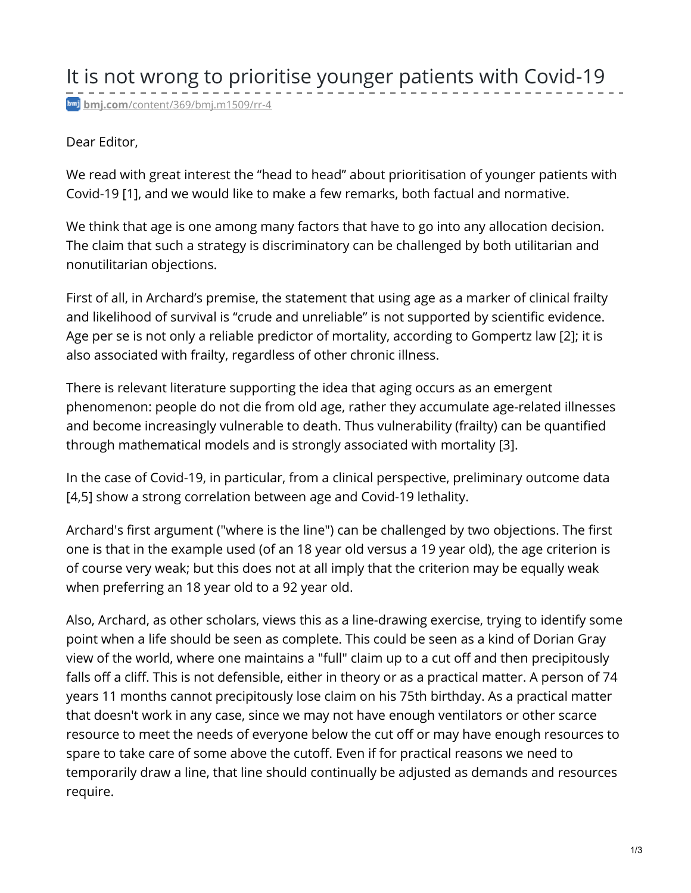## Dear Editor,

We read with great interest the "head to head" about prioritisation of younger patients with Covid-19 [1], and we would like to make a few remarks, both factual and normative.

We think that age is one among many factors that have to go into any allocation decision. The claim that such a strategy is discriminatory can be challenged by both utilitarian and nonutilitarian objections.

First of all, in Archard's premise, the statement that using age as a marker of clinical frailty and likelihood of survival is "crude and unreliable" is not supported by scientific evidence. Age per se is not only a reliable predictor of mortality, according to Gompertz law [2]; it is also associated with frailty, regardless of other chronic illness.

There is relevant literature supporting the idea that aging occurs as an emergent phenomenon: people do not die from old age, rather they accumulate age-related illnesses and become increasingly vulnerable to death. Thus vulnerability (frailty) can be quantified through mathematical models and is strongly associated with mortality [3].

In the case of Covid-19, in particular, from a clinical perspective, preliminary outcome data [4,5] show a strong correlation between age and Covid-19 lethality.

Archard's first argument ("where is the line") can be challenged by two objections. The first one is that in the example used (of an 18 year old versus a 19 year old), the age criterion is of course very weak; but this does not at all imply that the criterion may be equally weak when preferring an 18 year old to a 92 year old.

Also, Archard, as other scholars, views this as a line-drawing exercise, trying to identify some point when a life should be seen as complete. This could be seen as a kind of Dorian Gray view of the world, where one maintains a "full" claim up to a cut off and then precipitously falls off a cliff. This is not defensible, either in theory or as a practical matter. A person of 74 years 11 months cannot precipitously lose claim on his 75th birthday. As a practical matter that doesn't work in any case, since we may not have enough ventilators or other scarce resource to meet the needs of everyone below the cut off or may have enough resources to spare to take care of some above the cutoff. Even if for practical reasons we need to temporarily draw a line, that line should continually be adjusted as demands and resources require.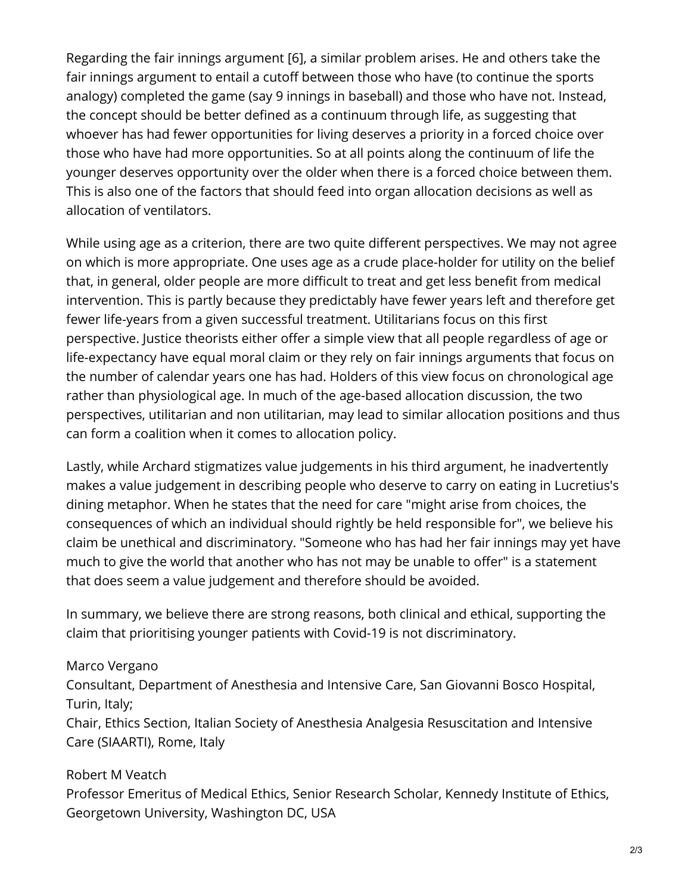Regarding the fair innings argument [6], a similar problem arises. He and others take the fair innings argument to entail a cutoff between those who have (to continue the sports analogy) completed the game (say 9 innings in baseball) and those who have not. Instead, the concept should be better defined as a continuum through life, as suggesting that whoever has had fewer opportunities for living deserves a priority in a forced choice over those who have had more opportunities. So at all points along the continuum of life the younger deserves opportunity over the older when there is a forced choice between them. This is also one of the factors that should feed into organ allocation decisions as well as allocation of ventilators.

While using age as a criterion, there are two quite different perspectives. We may not agree on which is more appropriate. One uses age as a crude place-holder for utility on the belief that, in general, older people are more difficult to treat and get less benefit from medical intervention. This is partly because they predictably have fewer years left and therefore get fewer life-years from a given successful treatment. Utilitarians focus on this first perspective. Justice theorists either offer a simple view that all people regardless of age or life-expectancy have equal moral claim or they rely on fair innings arguments that focus on the number of calendar years one has had. Holders of this view focus on chronological age rather than physiological age. In much of the age-based allocation discussion, the two perspectives, utilitarian and non utilitarian, may lead to similar allocation positions and thus can form a coalition when it comes to allocation policy.

Lastly, while Archard stigmatizes value judgements in his third argument, he inadvertently makes a value judgement in describing people who deserve to carry on eating in Lucretius's dining metaphor. When he states that the need for care "might arise from choices, the consequences of which an individual should rightly be held responsible for", we believe his claim be unethical and discriminatory. "Someone who has had her fair innings may yet have much to give the world that another who has not may be unable to offer" is a statement that does seem a value judgement and therefore should be avoided.

In summary, we believe there are strong reasons, both clinical and ethical, supporting the claim that prioritising younger patients with Covid-19 is not discriminatory.

## Marco Vergano

Consultant, Department of Anesthesia and Intensive Care, San Giovanni Bosco Hospital, Turin, Italy;

Chair, Ethics Section, Italian Society of Anesthesia Analgesia Resuscitation and Intensive Care (SIAARTI), Rome, Italy

## Robert M Veatch

Professor Emeritus of Medical Ethics, Senior Research Scholar, Kennedy Institute of Ethics, Georgetown University, Washington DC, USA